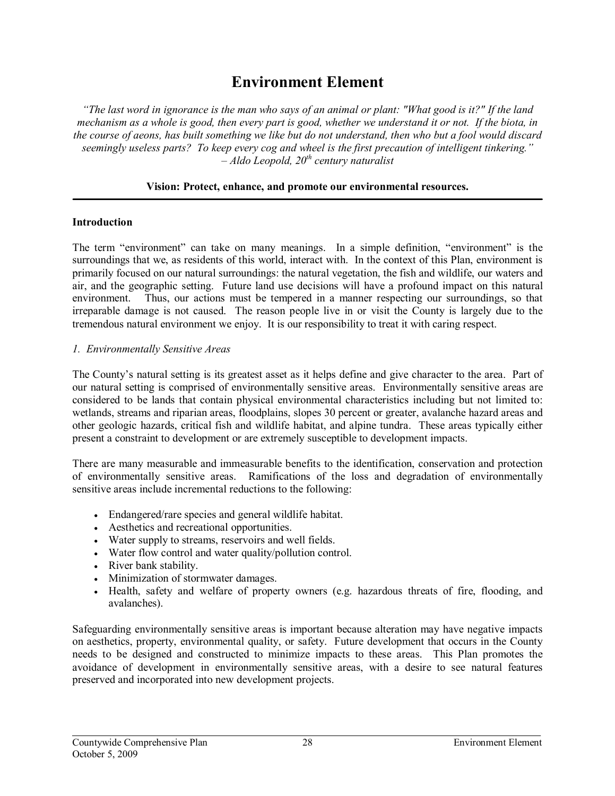# **Environment Element**

*"The last word in ignorance is the man who says of an animal or plant: "What good is it?" If the land mechanism as a whole is good, then every part is good, whether we understand it or not. If the biota, in the course of aeons, has built something we like but do not understand, then who but a fool would discard seemingly useless parts? To keep every cog and wheel is the first precaution of intelligent tinkering." – Aldo Leopold, 20 th century naturalist*

## **Vision: Protect, enhance, and promote our environmental resources.**

#### **Introduction**

The term "environment" can take on many meanings. In a simple definition, "environment" is the surroundings that we, as residents of this world, interact with. In the context of this Plan, environment is primarily focused on our natural surroundings: the natural vegetation, the fish and wildlife, our waters and air, and the geographic setting. Future land use decisions will have a profound impact on this natural environment. Thus, our actions must be tempered in a manner respecting our surroundings, so that irreparable damage is not caused. The reason people live in or visit the County is largely due to the tremendous natural environment we enjoy. It is our responsibility to treat it with caring respect.

## *1. Environmentally Sensitive Areas*

The County's natural setting is its greatest asset as it helps define and give character to the area. Part of our natural setting is comprised of environmentally sensitive areas. Environmentally sensitive areas are considered to be lands that contain physical environmental characteristics including but not limited to: wetlands, streams and riparian areas, floodplains, slopes 30 percent or greater, avalanche hazard areas and other geologic hazards, critical fish and wildlife habitat, and alpine tundra. These areas typically either present a constraint to development or are extremely susceptible to development impacts.

There are many measurable and immeasurable benefits to the identification, conservation and protection of environmentally sensitive areas. Ramifications of the loss and degradation of environmentally sensitive areas include incremental reductions to the following:

- · Endangered/rare species and general wildlife habitat.
- · Aesthetics and recreational opportunities.
- · Water supply to streams, reservoirs and well fields.
- · Water flow control and water quality/pollution control.
- · River bank stability.
- · Minimization of stormwater damages.
- · Health, safety and welfare of property owners (e.g. hazardous threats of fire, flooding, and avalanches).

Safeguarding environmentally sensitive areas is important because alteration may have negative impacts on aesthetics, property, environmental quality, or safety. Future development that occurs in the County needs to be designed and constructed to minimize impacts to these areas. This Plan promotes the avoidance of development in environmentally sensitive areas, with a desire to see natural features preserved and incorporated into new development projects.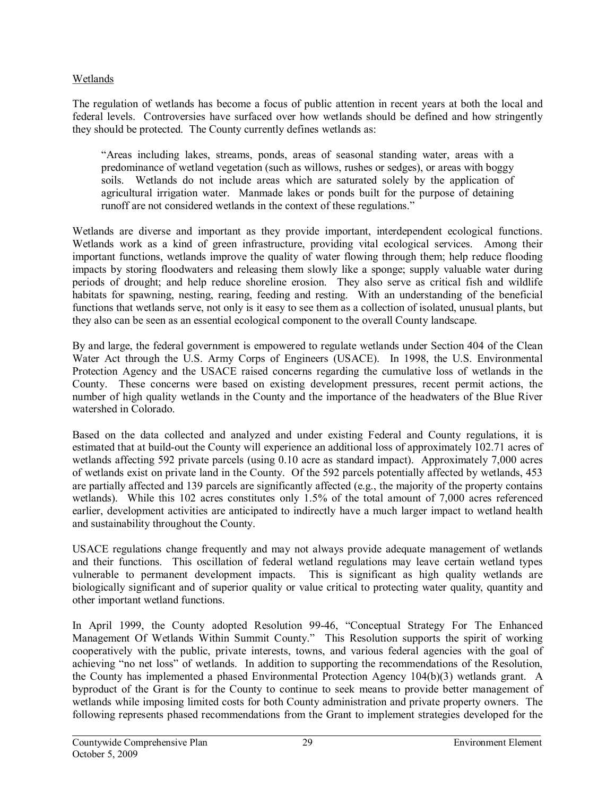# Wetlands

The regulation of wetlands has become a focus of public attention in recent years at both the local and federal levels. Controversies have surfaced over how wetlands should be defined and how stringently they should be protected. The County currently defines wetlands as:

"Areas including lakes, streams, ponds, areas of seasonal standing water, areas with a predominance of wetland vegetation (such as willows, rushes or sedges), or areas with boggy soils. Wetlands do not include areas which are saturated solely by the application of agricultural irrigation water. Manmade lakes or ponds built for the purpose of detaining runoff are not considered wetlands in the context of these regulations."

Wetlands are diverse and important as they provide important, interdependent ecological functions. Wetlands work as a kind of green infrastructure, providing vital ecological services. Among their important functions, wetlands improve the quality of water flowing through them; help reduce flooding impacts by storing floodwaters and releasing them slowly like a sponge; supply valuable water during periods of drought; and help reduce shoreline erosion. They also serve as critical fish and wildlife habitats for spawning, nesting, rearing, feeding and resting. With an understanding of the beneficial functions that wetlands serve, not only is it easy to see them as a collection of isolated, unusual plants, but they also can be seen as an essential ecological component to the overall County landscape.

By and large, the federal government is empowered to regulate wetlands under Section 404 of the Clean Water Act through the U.S. Army Corps of Engineers (USACE). In 1998, the U.S. Environmental Protection Agency and the USACE raised concerns regarding the cumulative loss of wetlands in the County. These concerns were based on existing development pressures, recent permit actions, the number of high quality wetlands in the County and the importance of the headwaters of the Blue River watershed in Colorado.

Based on the data collected and analyzed and under existing Federal and County regulations, it is estimated that at build-out the County will experience an additional loss of approximately 102.71 acres of wetlands affecting 592 private parcels (using 0.10 acre as standard impact). Approximately 7,000 acres of wetlands exist on private land in the County. Of the 592 parcels potentially affected by wetlands, 453 are partially affected and 139 parcels are significantly affected (e.g., the majority of the property contains wetlands). While this 102 acres constitutes only 1.5% of the total amount of 7,000 acres referenced earlier, development activities are anticipated to indirectly have a much larger impact to wetland health and sustainability throughout the County.

USACE regulations change frequently and may not always provide adequate management of wetlands and their functions. This oscillation of federal wetland regulations may leave certain wetland types vulnerable to permanent development impacts. This is significant as high quality wetlands are biologically significant and of superior quality or value critical to protecting water quality, quantity and other important wetland functions.

In April 1999, the County adopted Resolution 99-46, "Conceptual Strategy For The Enhanced Management Of Wetlands Within Summit County." This Resolution supports the spirit of working cooperatively with the public, private interests, towns, and various federal agencies with the goal of achieving "no net loss" of wetlands. In addition to supporting the recommendations of the Resolution, the County has implemented a phased Environmental Protection Agency 104(b)(3) wetlands grant. A byproduct of the Grant is for the County to continue to seek means to provide better management of wetlands while imposing limited costs for both County administration and private property owners. The following represents phased recommendations from the Grant to implement strategies developed for the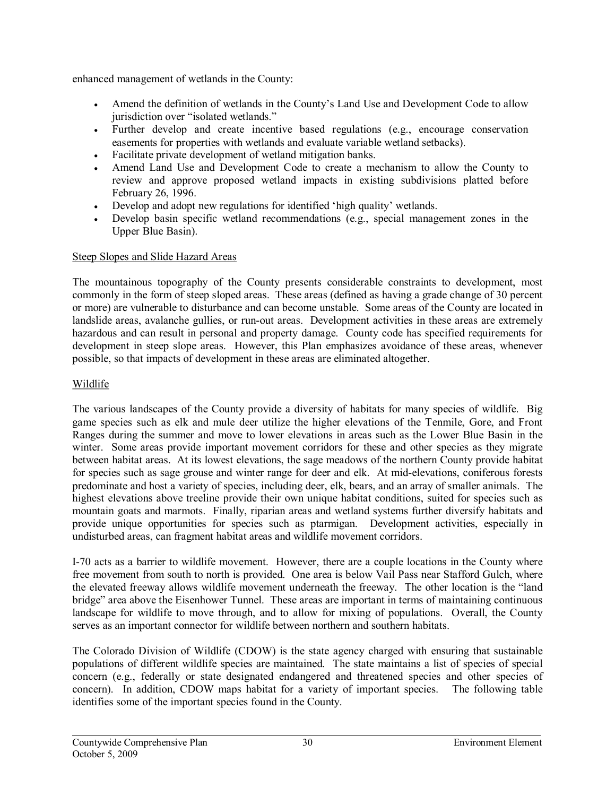enhanced management of wetlands in the County:

- Amend the definition of wetlands in the County's Land Use and Development Code to allow jurisdiction over "isolated wetlands."
- · Further develop and create incentive based regulations (e.g., encourage conservation easements for properties with wetlands and evaluate variable wetland setbacks).
- · Facilitate private development of wetland mitigation banks.
- Amend Land Use and Development Code to create a mechanism to allow the County to review and approve proposed wetland impacts in existing subdivisions platted before February 26, 1996.
- · Develop and adopt new regulations for identified 'high quality' wetlands.
- Develop basin specific wetland recommendations  $(e.g.,)$  special management zones in the Upper Blue Basin).

# Steep Slopes and Slide Hazard Areas

The mountainous topography of the County presents considerable constraints to development, most commonly in the form of steep sloped areas. These areas (defined as having a grade change of 30 percent or more) are vulnerable to disturbance and can become unstable. Some areas of the County are located in landslide areas, avalanche gullies, or run-out areas. Development activities in these areas are extremely hazardous and can result in personal and property damage. County code has specified requirements for development in steep slope areas. However, this Plan emphasizes avoidance of these areas, whenever possible, so that impacts of development in these areas are eliminated altogether.

# Wildlife

The various landscapes of the County provide a diversity of habitats for many species of wildlife. Big game species such as elk and mule deer utilize the higher elevations of the Tenmile, Gore, and Front Ranges during the summer and move to lower elevations in areas such as the Lower Blue Basin in the winter. Some areas provide important movement corridors for these and other species as they migrate between habitat areas. At its lowest elevations, the sage meadows of the northern County provide habitat for species such as sage grouse and winter range for deer and elk. At midelevations, coniferous forests predominate and host a variety of species, including deer, elk, bears, and an array of smaller animals. The highest elevations above treeline provide their own unique habitat conditions, suited for species such as mountain goats and marmots. Finally, riparian areas and wetland systems further diversify habitats and provide unique opportunities for species such as ptarmigan. Development activities, especially in undisturbed areas, can fragment habitat areas and wildlife movement corridors.

I70 acts as a barrier to wildlife movement. However, there are a couple locations in the County where free movement from south to north is provided. One area is below Vail Pass near Stafford Gulch, where the elevated freeway allows wildlife movement underneath the freeway. The other location is the "land bridge" area above the Eisenhower Tunnel. These areas are important in terms of maintaining continuous landscape for wildlife to move through, and to allow for mixing of populations. Overall, the County serves as an important connector for wildlife between northern and southern habitats.

The Colorado Division of Wildlife (CDOW) is the state agency charged with ensuring that sustainable populations of different wildlife species are maintained. The state maintains a list of species of special concern (e.g., federally or state designated endangered and threatened species and other species of concern). In addition, CDOW maps habitat for a variety of important species. The following table identifies some of the important species found in the County.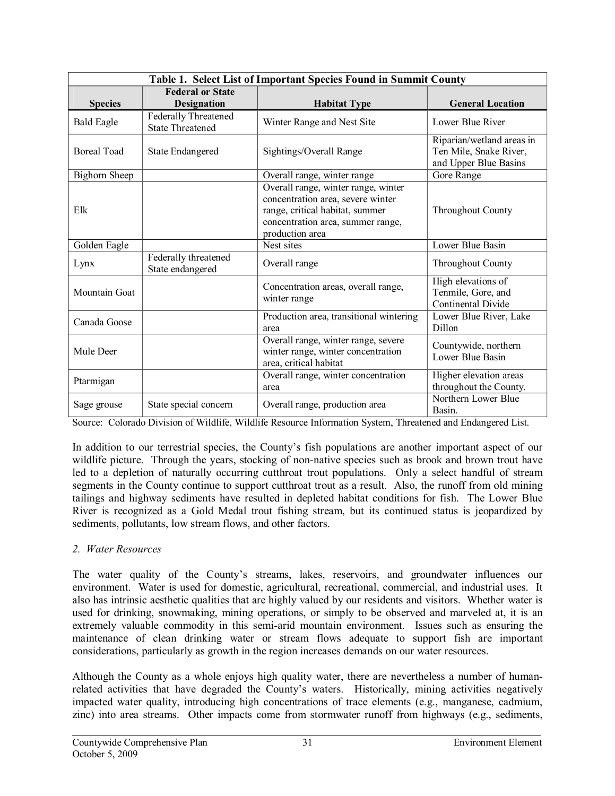| Table 1. Select List of Important Species Found in Summit County |                                                        |                                                                                                                                                                     |                                                                              |  |
|------------------------------------------------------------------|--------------------------------------------------------|---------------------------------------------------------------------------------------------------------------------------------------------------------------------|------------------------------------------------------------------------------|--|
| <b>Species</b>                                                   | <b>Federal or State</b><br><b>Designation</b>          | <b>Habitat Type</b>                                                                                                                                                 | <b>General Location</b>                                                      |  |
| <b>Bald Eagle</b>                                                | <b>Federally Threatened</b><br><b>State Threatened</b> | Winter Range and Nest Site                                                                                                                                          | Lower Blue River                                                             |  |
| <b>Boreal Toad</b>                                               | <b>State Endangered</b>                                | Sightings/Overall Range                                                                                                                                             | Riparian/wetland areas in<br>Ten Mile, Snake River,<br>and Upper Blue Basins |  |
| Bighorn Sheep                                                    |                                                        | Overall range, winter range                                                                                                                                         | Gore Range                                                                   |  |
| Elk                                                              |                                                        | Overall range, winter range, winter<br>concentration area, severe winter<br>range, critical habitat, summer<br>concentration area, summer range,<br>production area | <b>Throughout County</b>                                                     |  |
| Golden Eagle                                                     |                                                        | Nest sites                                                                                                                                                          | Lower Blue Basin                                                             |  |
| Lynx                                                             | Federally threatened<br>State endangered               | Overall range                                                                                                                                                       | <b>Throughout County</b>                                                     |  |
| Mountain Goat                                                    |                                                        | Concentration areas, overall range,<br>winter range                                                                                                                 | High elevations of<br>Tenmile, Gore, and<br><b>Continental Divide</b>        |  |
| Canada Goose                                                     |                                                        | Production area, transitional wintering<br>area                                                                                                                     | Lower Blue River, Lake<br>Dillon                                             |  |
| Mule Deer                                                        |                                                        | Overall range, winter range, severe<br>winter range, winter concentration<br>area, critical habitat                                                                 | Countywide, northern<br>Lower Blue Basin                                     |  |
| Ptarmigan                                                        |                                                        | Overall range, winter concentration<br>area                                                                                                                         | Higher elevation areas<br>throughout the County.                             |  |
| Sage grouse                                                      | State special concern                                  | Overall range, production area                                                                                                                                      | Northern Lower Blue<br>Basin.                                                |  |

Source: Colorado Division of Wildlife, Wildlife Resource Information System, Threatened and Endangered List.

In addition to our terrestrial species, the County's fish populations are another important aspect of our wildlife picture. Through the years, stocking of non-native species such as brook and brown trout have led to a depletion of naturally occurring cutthroat trout populations. Only a select handful of stream segments in the County continue to support cutthroat trout as a result. Also, the runoff from old mining tailings and highway sediments have resulted in depleted habitat conditions for fish. The Lower Blue River is recognized as a Gold Medal trout fishing stream, but its continued status is jeopardized by sediments, pollutants, low stream flows, and other factors.

# *2. Water Resources*

The water quality of the County's streams, lakes, reservoirs, and groundwater influences our environment. Water is used for domestic, agricultural, recreational, commercial, and industrial uses. It also has intrinsic aesthetic qualities that are highly valued by our residents and visitors. Whether water is used for drinking, snowmaking, mining operations, or simply to be observed and marveled at, it is an extremely valuable commodity in this semi-arid mountain environment. Issues such as ensuring the maintenance of clean drinking water or stream flows adequate to support fish are important considerations, particularly as growth in the region increases demands on our water resources.

Although the County as a whole enjoys high quality water, there are nevertheless a number of humanrelated activities that have degraded the County's waters. Historically, mining activities negatively impacted water quality, introducing high concentrations of trace elements (e.g., manganese, cadmium, zinc) into area streams. Other impacts come from stormwater runoff from highways (e.g., sediments,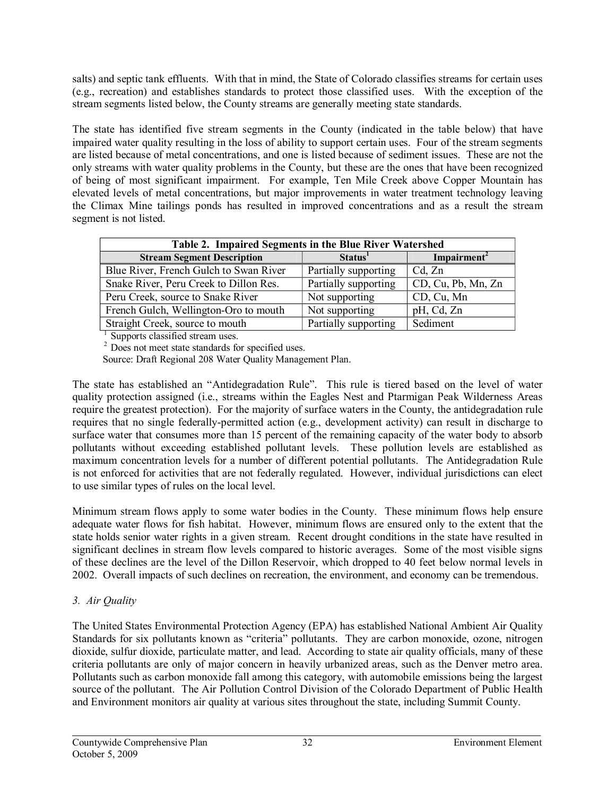salts) and septic tank effluents. With that in mind, the State of Colorado classifies streams for certain uses (e.g., recreation) and establishes standards to protect those classified uses. With the exception of the stream segments listed below, the County streams are generally meeting state standards.

The state has identified five stream segments in the County (indicated in the table below) that have impaired water quality resulting in the loss of ability to support certain uses. Four of the stream segments are listed because of metal concentrations, and one is listed because of sediment issues. These are not the only streams with water quality problems in the County, but these are the ones that have been recognized of being of most significant impairment. For example, Ten Mile Creek above Copper Mountain has elevated levels of metal concentrations, but major improvements in water treatment technology leaving the Climax Mine tailings ponds has resulted in improved concentrations and as a result the stream segment is not listed.

| Table 2. Impaired Segments in the Blue River Watershed |                      |                         |  |  |  |
|--------------------------------------------------------|----------------------|-------------------------|--|--|--|
| <b>Stream Segment Description</b>                      | Status <sup>1</sup>  | Impairment <sup>2</sup> |  |  |  |
| Blue River, French Gulch to Swan River                 | Partially supporting | $Cd$ , $Zn$             |  |  |  |
| Snake River, Peru Creek to Dillon Res.                 | Partially supporting | CD, Cu, Pb, Mn, Zn      |  |  |  |
| Peru Creek, source to Snake River                      | Not supporting       | CD, Cu, Mn              |  |  |  |
| French Gulch, Wellington-Oro to mouth                  | Not supporting       | pH, Cd, Zn              |  |  |  |
| Straight Creek, source to mouth                        | Partially supporting | Sediment                |  |  |  |

 $\frac{1}{2}$  Supports classified stream uses.  $\frac{2}{2}$  Does not meet state standards for specified uses.

Source: Draft Regional 208 Water Quality Management Plan.

The state has established an "Antidegradation Rule". This rule is tiered based on the level of water quality protection assigned (i.e., streams within the Eagles Nest and Ptarmigan Peak Wilderness Areas require the greatest protection). For the majority of surface waters in the County, the antidegradation rule requires that no single federally-permitted action (e.g., development activity) can result in discharge to surface water that consumes more than 15 percent of the remaining capacity of the water body to absorb pollutants without exceeding established pollutant levels. These pollution levels are established as maximum concentration levels for a number of different potential pollutants. The Antidegradation Rule is not enforced for activities that are not federally regulated. However, individual jurisdictions can elect to use similar types of rules on the local level.

Minimum stream flows apply to some water bodies in the County. These minimum flows help ensure adequate water flows for fish habitat. However, minimum flows are ensured only to the extent that the state holds senior water rights in a given stream. Recent drought conditions in the state have resulted in significant declines in stream flow levels compared to historic averages. Some of the most visible signs of these declines are the level of the Dillon Reservoir, which dropped to 40 feet below normal levels in 2002. Overall impacts of such declines on recreation, the environment, and economy can be tremendous.

# *3. Air Quality*

The United States Environmental Protection Agency (EPA) has established National Ambient Air Quality Standards for six pollutants known as "criteria" pollutants. They are carbon monoxide, ozone, nitrogen dioxide, sulfur dioxide, particulate matter, and lead. According to state air quality officials, many of these criteria pollutants are only of major concern in heavily urbanized areas, such as the Denver metro area. Pollutants such as carbon monoxide fall among this category, with automobile emissions being the largest source of the pollutant. The Air Pollution Control Division of the Colorado Department of Public Health and Environment monitors air quality at various sites throughout the state, including Summit County.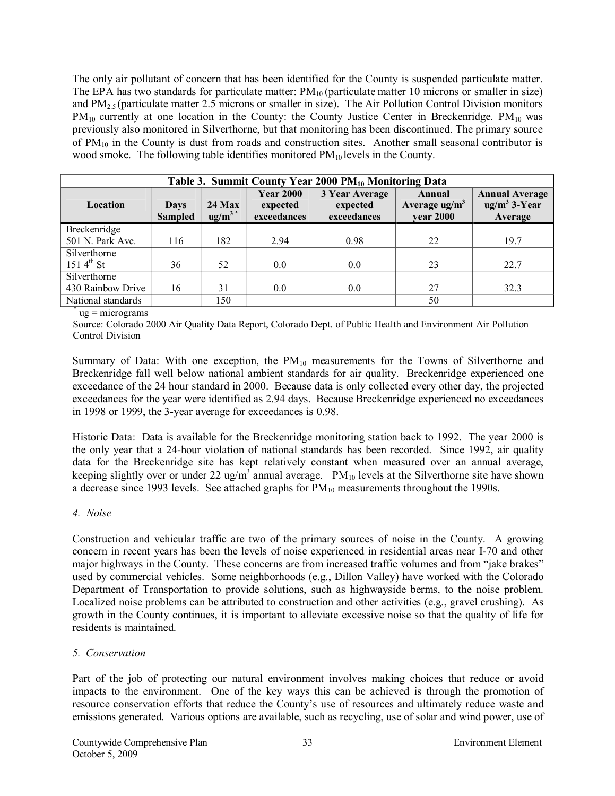The only air pollutant of concern that has been identified for the County is suspended particulate matter. The EPA has two standards for particulate matter:  $PM_{10}$  (particulate matter 10 microns or smaller in size) and  $PM_{2.5}$  (particulate matter 2.5 microns or smaller in size). The Air Pollution Control Division monitors  $PM_{10}$  currently at one location in the County: the County Justice Center in Breckenridge.  $PM_{10}$  was previously also monitored in Silverthorne, but that monitoring has been discontinued. The primary source of  $PM_{10}$  in the County is dust from roads and construction sites. Another small seasonal contributor is wood smoke. The following table identifies monitored  $PM_{10}$  levels in the County.

| Table 3. Summit County Year 2000 PM <sub>10</sub> Monitoring Data |                               |                      |                                             |                                           |                                                |                                                    |
|-------------------------------------------------------------------|-------------------------------|----------------------|---------------------------------------------|-------------------------------------------|------------------------------------------------|----------------------------------------------------|
| Location                                                          | <b>Days</b><br><b>Sampled</b> | $24$ Max<br>$ug/m3*$ | <b>Year 2000</b><br>expected<br>exceedances | 3 Year Average<br>expected<br>exceedances | Annual<br>Average $\text{ug/m}^3$<br>vear 2000 | <b>Annual Average</b><br>$ug/m3$ 3-Year<br>Average |
| Breckenridge                                                      |                               |                      |                                             |                                           |                                                |                                                    |
| 501 N. Park Ave.                                                  | 116                           | 182                  | 2.94                                        | 0.98                                      | 22                                             | 19.7                                               |
| Silverthorne<br>151 $4^{th}$ St                                   | 36                            | 52                   | 0.0                                         | 0.0                                       | 23                                             | 22.7                                               |
| Silverthorne                                                      |                               |                      |                                             |                                           |                                                |                                                    |
| 430 Rainbow Drive                                                 | 16                            | 31                   | 0.0                                         | 0.0                                       | 27                                             | 32.3                                               |
| National standards                                                |                               | 150                  |                                             |                                           | 50                                             |                                                    |

 $ug = micrograms$ 

Source: Colorado 2000 Air Quality Data Report, Colorado Dept. of Public Health and Environment Air Pollution Control Division

Summary of Data: With one exception, the  $PM_{10}$  measurements for the Towns of Silverthorne and Breckenridge fall well below national ambient standards for air quality. Breckenridge experienced one exceedance of the 24 hour standard in 2000. Because data is only collected every other day, the projected exceedances for the year were identified as 2.94 days. Because Breckenridge experienced no exceedances in 1998 or 1999, the 3-year average for exceedances is 0.98.

Historic Data: Data is available for the Breckenridge monitoring station back to 1992. The year 2000 is the only year that a 24hour violation of national standards has been recorded. Since 1992, air quality data for the Breckenridge site has kept relatively constant when measured over an annual average, keeping slightly over or under 22 ug/m<sup>3</sup> annual average.  $PM_{10}$  levels at the Silverthorne site have shown a decrease since 1993 levels. See attached graphs for  $PM_{10}$  measurements throughout the 1990s.

# *4. Noise*

Construction and vehicular traffic are two of the primary sources of noise in the County. A growing concern in recent years has been the levels of noise experienced in residential areas near I-70 and other major highways in the County. These concerns are from increased traffic volumes and from "jake brakes" used by commercial vehicles. Some neighborhoods (e.g., Dillon Valley) have worked with the Colorado Department of Transportation to provide solutions, such as highwayside berms, to the noise problem. Localized noise problems can be attributed to construction and other activities (e.g., gravel crushing). As growth in the County continues, it is important to alleviate excessive noise so that the quality of life for residents is maintained.

# *5. Conservation*

Part of the job of protecting our natural environment involves making choices that reduce or avoid impacts to the environment. One of the key ways this can be achieved is through the promotion of resource conservation efforts that reduce the County's use of resources and ultimately reduce waste and emissions generated. Various options are available, such as recycling, use of solar and wind power, use of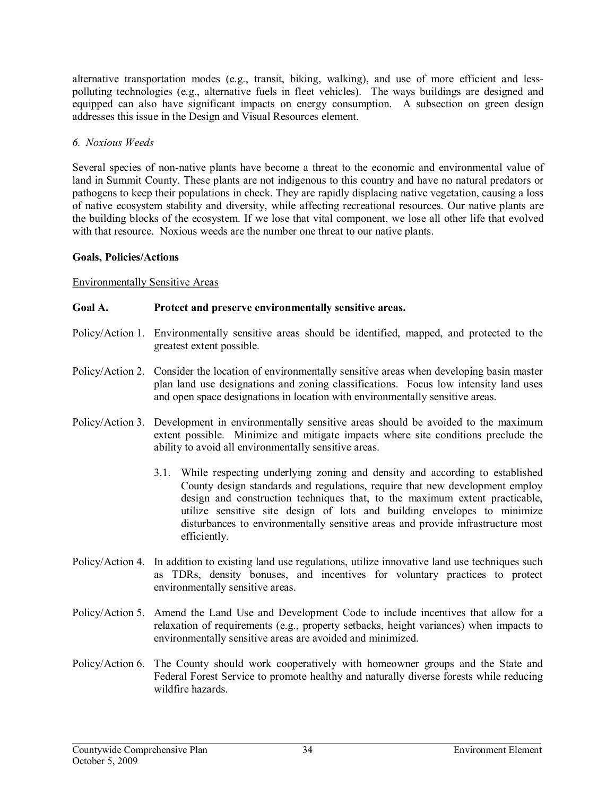alternative transportation modes (e.g., transit, biking, walking), and use of more efficient and less polluting technologies (e.g., alternative fuels in fleet vehicles). The ways buildings are designed and equipped can also have significant impacts on energy consumption. A subsection on green design addresses this issue in the Design and Visual Resources element.

## *6. Noxious Weeds*

Several species of non-native plants have become a threat to the economic and environmental value of land in Summit County. These plants are not indigenous to this country and have no natural predators or pathogens to keep their populations in check. They are rapidly displacing native vegetation, causing a loss of native ecosystem stability and diversity, while affecting recreational resources. Our native plants are the building blocks of the ecosystem. If we lose that vital component, we lose all other life that evolved with that resource. Noxious weeds are the number one threat to our native plants.

## **Goals, Policies/Actions**

## Environmentally Sensitive Areas

# **Goal A. Protect and preserve environmentally sensitive areas.**

- Policy/Action 1. Environmentally sensitive areas should be identified, mapped, and protected to the greatest extent possible.
- Policy/Action 2. Consider the location of environmentally sensitive areas when developing basin master plan land use designations and zoning classifications. Focus low intensity land uses and open space designations in location with environmentally sensitive areas.
- Policy/Action 3. Development in environmentally sensitive areas should be avoided to the maximum extent possible. Minimize and mitigate impacts where site conditions preclude the ability to avoid all environmentally sensitive areas.
	- 3.1. While respecting underlying zoning and density and according to established County design standards and regulations, require that new development employ design and construction techniques that, to the maximum extent practicable, utilize sensitive site design of lots and building envelopes to minimize disturbances to environmentally sensitive areas and provide infrastructure most efficiently.
- Policy/Action 4. In addition to existing land use regulations, utilize innovative land use techniques such as TDRs, density bonuses, and incentives for voluntary practices to protect environmentally sensitive areas.
- Policy/Action 5. Amend the Land Use and Development Code to include incentives that allow for a relaxation of requirements (e.g., property setbacks, height variances) when impacts to environmentally sensitive areas are avoided and minimized.
- Policy/Action 6. The County should work cooperatively with homeowner groups and the State and Federal Forest Service to promote healthy and naturally diverse forests while reducing wildfire hazards.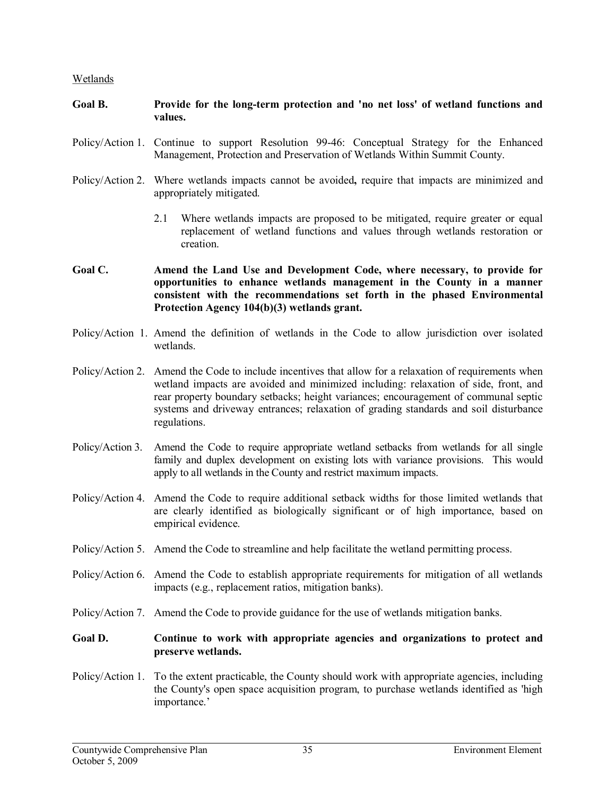#### Wetlands

- **Goal B.** Provide for the long-term protection and 'no net loss' of wetland functions and **values.**
- Policy/Action 1. Continue to support Resolution 9946: Conceptual Strategy for the Enhanced Management, Protection and Preservation of Wetlands Within Summit County.
- Policy/Action 2. Where wetlands impacts cannot be avoided**,** require that impacts are minimized and appropriately mitigated.
	- 2.1 Where wetlands impacts are proposed to be mitigated, require greater or equal replacement of wetland functions and values through wetlands restoration or creation.

#### **Goal C. Amend the Land Use and Development Code, where necessary, to provide for opportunities to enhance wetlands management in the County in a manner consistent with the recommendations set forth in the phased Environmental Protection Agency 104(b)(3) wetlands grant.**

- Policy/Action 1. Amend the definition of wetlands in the Code to allow jurisdiction over isolated wetlands.
- Policy/Action 2. Amend the Code to include incentives that allow for a relaxation of requirements when wetland impacts are avoided and minimized including: relaxation of side, front, and rear property boundary setbacks; height variances; encouragement of communal septic systems and driveway entrances; relaxation of grading standards and soil disturbance regulations.
- Policy/Action 3. Amend the Code to require appropriate wetland setbacks from wetlands for all single family and duplex development on existing lots with variance provisions. This would apply to all wetlands in the County and restrict maximum impacts.
- Policy/Action 4. Amend the Code to require additional setback widths for those limited wetlands that are clearly identified as biologically significant or of high importance, based on empirical evidence.
- Policy/Action 5. Amend the Code to streamline and help facilitate the wetland permitting process.
- Policy/Action 6. Amend the Code to establish appropriate requirements for mitigation of all wetlands impacts (e.g., replacement ratios, mitigation banks).
- Policy/Action 7. Amend the Code to provide guidance for the use of wetlands mitigation banks.

#### **Goal D. Continue to work with appropriate agencies and organizations to protect and preserve wetlands.**

Policy/Action 1. To the extent practicable, the County should work with appropriate agencies, including the County's open space acquisition program, to purchase wetlands identified as 'high importance.'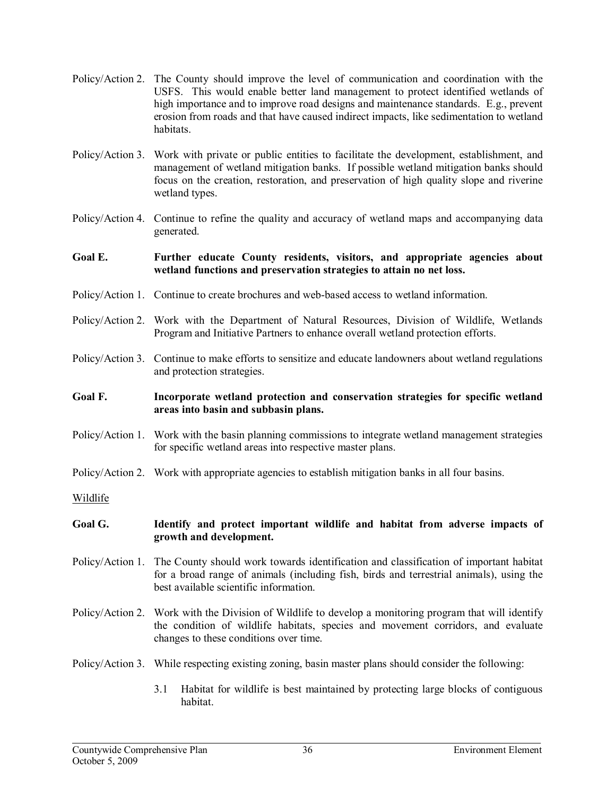- Policy/Action 2. The County should improve the level of communication and coordination with the USFS. This would enable better land management to protect identified wetlands of high importance and to improve road designs and maintenance standards. E.g., prevent erosion from roads and that have caused indirect impacts, like sedimentation to wetland habitats.
- Policy/Action 3. Work with private or public entities to facilitate the development, establishment, and management of wetland mitigation banks. If possible wetland mitigation banks should focus on the creation, restoration, and preservation of high quality slope and riverine wetland types.
- Policy/Action 4. Continue to refine the quality and accuracy of wetland maps and accompanying data generated.

**Goal E. Further educate County residents, visitors, and appropriate agencies about wetland functions and preservation strategies to attain no net loss.**

- Policy/Action 1. Continue to create brochures and web-based access to wetland information.
- Policy/Action 2. Work with the Department of Natural Resources, Division of Wildlife, Wetlands Program and Initiative Partners to enhance overall wetland protection efforts.
- Policy/Action 3. Continue to make efforts to sensitize and educate landowners about wetland regulations and protection strategies.
- **Goal F. Incorporate wetland protection and conservation strategies for specific wetland areas into basin and subbasin plans.**
- Policy/Action 1. Work with the basin planning commissions to integrate wetland management strategies for specific wetland areas into respective master plans.
- Policy/Action 2. Work with appropriate agencies to establish mitigation banks in all four basins.
- Wildlife

#### **Goal G. Identify and protect important wildlife and habitat from adverse impacts of growth and development.**

- Policy/Action 1. The County should work towards identification and classification of important habitat for a broad range of animals (including fish, birds and terrestrial animals), using the best available scientific information.
- Policy/Action 2. Work with the Division of Wildlife to develop a monitoring program that will identify the condition of wildlife habitats, species and movement corridors, and evaluate changes to these conditions over time.
- Policy/Action 3. While respecting existing zoning, basin master plans should consider the following:
	- 3.1 Habitat for wildlife is best maintained by protecting large blocks of contiguous habitat.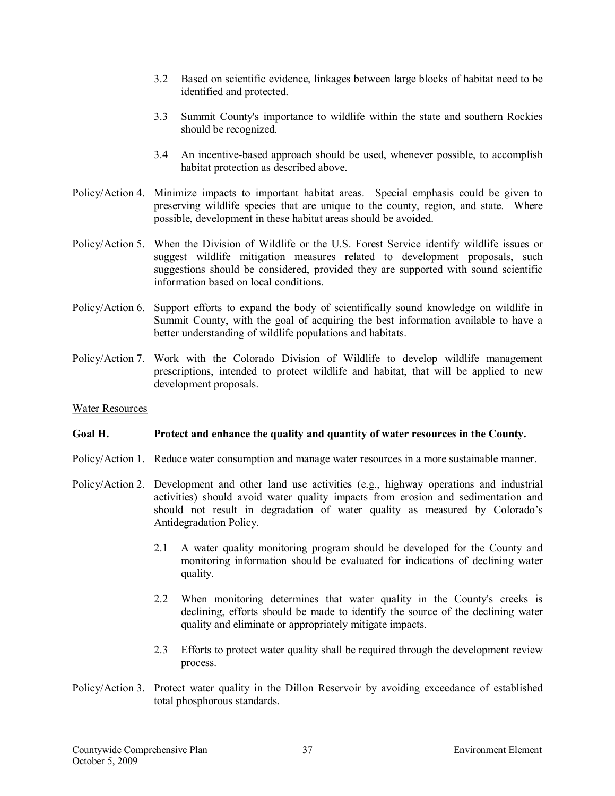- 3.2 Based on scientific evidence, linkages between large blocks of habitat need to be identified and protected.
- 3.3 Summit County's importance to wildlife within the state and southern Rockies should be recognized.
- 3.4 An incentive-based approach should be used, whenever possible, to accomplish habitat protection as described above.
- Policy/Action 4. Minimize impacts to important habitat areas. Special emphasis could be given to preserving wildlife species that are unique to the county, region, and state. Where possible, development in these habitat areas should be avoided.
- Policy/Action 5. When the Division of Wildlife or the U.S. Forest Service identify wildlife issues or suggest wildlife mitigation measures related to development proposals, such suggestions should be considered, provided they are supported with sound scientific information based on local conditions.
- Policy/Action 6. Support efforts to expand the body of scientifically sound knowledge on wildlife in Summit County, with the goal of acquiring the best information available to have a better understanding of wildlife populations and habitats.
- Policy/Action 7. Work with the Colorado Division of Wildlife to develop wildlife management prescriptions, intended to protect wildlife and habitat, that will be applied to new development proposals.

#### Water Resources

# **Goal H. Protect and enhance the quality and quantity of water resources in the County.**

- Policy/Action 1. Reduce water consumption and manage water resources in a more sustainable manner.
- Policy/Action 2. Development and other land use activities (e.g., highway operations and industrial activities) should avoid water quality impacts from erosion and sedimentation and should not result in degradation of water quality as measured by Colorado's Antidegradation Policy.
	- 2.1 A water quality monitoring program should be developed for the County and monitoring information should be evaluated for indications of declining water quality.
	- 2.2 When monitoring determines that water quality in the County's creeks is declining, efforts should be made to identify the source of the declining water quality and eliminate or appropriately mitigate impacts.
	- 2.3 Efforts to protect water quality shall be required through the development review process.
- Policy/Action 3. Protect water quality in the Dillon Reservoir by avoiding exceedance of established total phosphorous standards.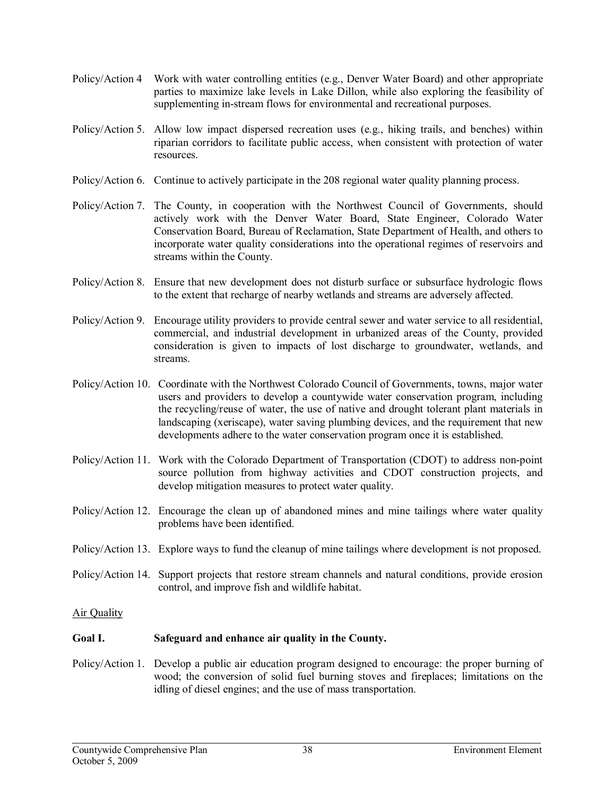- Policy/Action 4 Work with water controlling entities (e.g., Denver Water Board) and other appropriate parties to maximize lake levels in Lake Dillon, while also exploring the feasibility of supplementing in-stream flows for environmental and recreational purposes.
- Policy/Action 5. Allow low impact dispersed recreation uses (e.g., hiking trails, and benches) within riparian corridors to facilitate public access, when consistent with protection of water resources.
- Policy/Action 6. Continue to actively participate in the 208 regional water quality planning process.
- Policy/Action 7. The County, in cooperation with the Northwest Council of Governments, should actively work with the Denver Water Board, State Engineer, Colorado Water Conservation Board, Bureau of Reclamation, State Department of Health, and others to incorporate water quality considerations into the operational regimes of reservoirs and streams within the County.
- Policy/Action 8. Ensure that new development does not disturb surface or subsurface hydrologic flows to the extent that recharge of nearby wetlands and streams are adversely affected.
- Policy/Action 9. Encourage utility providers to provide central sewer and water service to all residential, commercial, and industrial development in urbanized areas of the County, provided consideration is given to impacts of lost discharge to groundwater, wetlands, and streams.
- Policy/Action 10. Coordinate with the Northwest Colorado Council of Governments, towns, major water users and providers to develop a countywide water conservation program, including the recycling/reuse of water, the use of native and drought tolerant plant materials in landscaping (xeriscape), water saving plumbing devices, and the requirement that new developments adhere to the water conservation program once it is established.
- Policy/Action 11. Work with the Colorado Department of Transportation (CDOT) to address non-point source pollution from highway activities and CDOT construction projects, and develop mitigation measures to protect water quality.
- Policy/Action 12. Encourage the clean up of abandoned mines and mine tailings where water quality problems have been identified.
- Policy/Action 13. Explore ways to fund the cleanup of mine tailings where development is not proposed.
- Policy/Action 14. Support projects that restore stream channels and natural conditions, provide erosion control, and improve fish and wildlife habitat.
- Air Quality

# **Goal I. Safeguard and enhance air quality in the County.**

Policy/Action 1. Develop a public air education program designed to encourage: the proper burning of wood; the conversion of solid fuel burning stoves and fireplaces; limitations on the idling of diesel engines; and the use of mass transportation.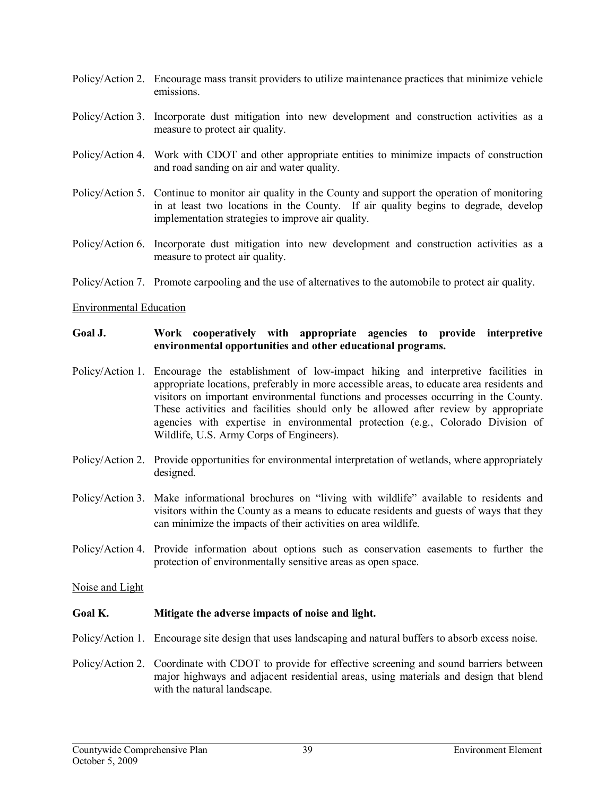- Policy/Action 2. Encourage mass transit providers to utilize maintenance practices that minimize vehicle emissions.
- Policy/Action 3. Incorporate dust mitigation into new development and construction activities as a measure to protect air quality.
- Policy/Action 4. Work with CDOT and other appropriate entities to minimize impacts of construction and road sanding on air and water quality.
- Policy/Action 5. Continue to monitor air quality in the County and support the operation of monitoring in at least two locations in the County. If air quality begins to degrade, develop implementation strategies to improve air quality.
- Policy/Action 6. Incorporate dust mitigation into new development and construction activities as a measure to protect air quality.
- Policy/Action 7. Promote carpooling and the use of alternatives to the automobile to protect air quality.

#### Environmental Education

#### **Goal J. Work cooperatively with appropriate agencies to provide interpretive environmental opportunities and other educational programs.**

- Policy/Action 1. Encourage the establishment of lowimpact hiking and interpretive facilities in appropriate locations, preferably in more accessible areas, to educate area residents and visitors on important environmental functions and processes occurring in the County. These activities and facilities should only be allowed after review by appropriate agencies with expertise in environmental protection (e.g., Colorado Division of Wildlife, U.S. Army Corps of Engineers).
- Policy/Action 2. Provide opportunities for environmental interpretation of wetlands, where appropriately designed.
- Policy/Action 3. Make informational brochures on "living with wildlife" available to residents and visitors within the County as a means to educate residents and guests of ways that they can minimize the impacts of their activities on area wildlife.
- Policy/Action 4. Provide information about options such as conservation easements to further the protection of environmentally sensitive areas as open space.

#### Noise and Light

#### **Goal K. Mitigate the adverse impacts of noise and light.**

- Policy/Action 1. Encourage site design that uses landscaping and natural buffers to absorb excess noise.
- Policy/Action 2. Coordinate with CDOT to provide for effective screening and sound barriers between major highways and adjacent residential areas, using materials and design that blend with the natural landscape.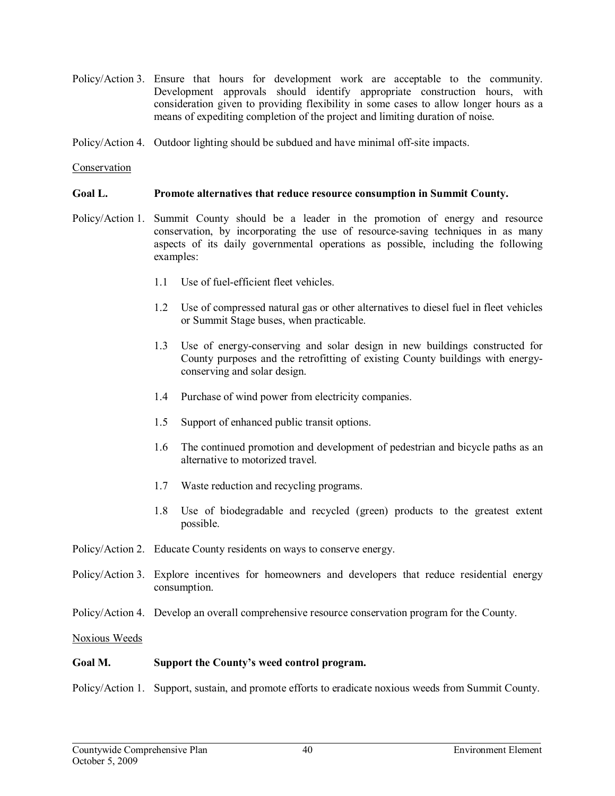- Policy/Action 3. Ensure that hours for development work are acceptable to the community. Development approvals should identify appropriate construction hours, with consideration given to providing flexibility in some cases to allow longer hours as a means of expediting completion of the project and limiting duration of noise.
- Policy/Action 4. Outdoor lighting should be subdued and have minimal off-site impacts.

#### Conservation

#### **Goal L. Promote alternatives that reduce resource consumption in Summit County.**

- Policy/Action 1. Summit County should be a leader in the promotion of energy and resource conservation, by incorporating the use of resource-saving techniques in as many aspects of its daily governmental operations as possible, including the following examples:
	- 1.1 Use of fuel-efficient fleet vehicles.
	- 1.2 Use of compressed natural gas or other alternatives to diesel fuel in fleet vehicles or Summit Stage buses, when practicable.
	- 1.3 Use of energyconserving and solar design in new buildings constructed for County purposes and the retrofitting of existing County buildings with energy conserving and solar design.
	- 1.4 Purchase of wind power from electricity companies.
	- 1.5 Support of enhanced public transit options.
	- 1.6 The continued promotion and development of pedestrian and bicycle paths as an alternative to motorized travel.
	- 1.7 Waste reduction and recycling programs.
	- 1.8 Use of biodegradable and recycled (green) products to the greatest extent possible.
- Policy/Action 2. Educate County residents on ways to conserve energy.
- Policy/Action 3. Explore incentives for homeowners and developers that reduce residential energy consumption.

Policy/Action 4. Develop an overall comprehensive resource conservation program for the County.

Noxious Weeds

#### **Goal M. Support the County's weed control program.**

Policy/Action 1. Support, sustain, and promote efforts to eradicate noxious weeds from Summit County.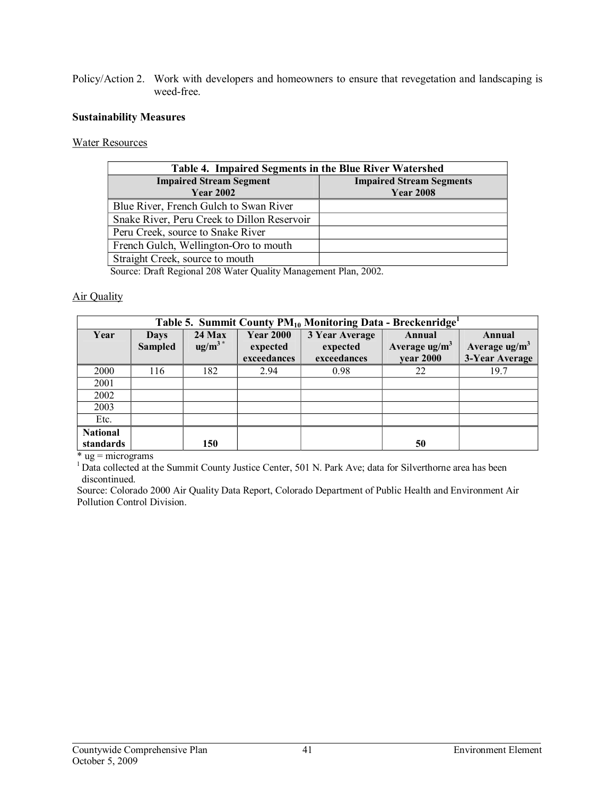Policy/Action 2. Work with developers and homeowners to ensure that revegetation and landscaping is weed-free.

## **Sustainability Measures**

#### Water Resources

| Table 4. Impaired Segments in the Blue River Watershed |                                         |  |  |  |
|--------------------------------------------------------|-----------------------------------------|--|--|--|
| <b>Impaired Stream Segment</b>                         | <b>Impaired Stream Segments</b>         |  |  |  |
| <b>Year 2002</b>                                       | <b>Year 2008</b>                        |  |  |  |
| Blue River, French Gulch to Swan River                 |                                         |  |  |  |
| Snake River, Peru Creek to Dillon Reservoir            |                                         |  |  |  |
| Peru Creek, source to Snake River                      |                                         |  |  |  |
| French Gulch, Wellington-Oro to mouth                  |                                         |  |  |  |
| Straight Creek, source to mouth                        |                                         |  |  |  |
| $\alpha$ m and 1,000 $\mu$ m as $\alpha$               | $. \mathbf{m1}$<br>$\sim$ $\sim$ $\sim$ |  |  |  |

Source: Draft Regional 208 Water Quality Management Plan, 2002.

## Air Quality

| Table 5. Summit County PM <sub>10</sub> Monitoring Data - Breckenridge <sup>1</sup> |                               |                      |                                             |                                           |                                                       |                                                     |
|-------------------------------------------------------------------------------------|-------------------------------|----------------------|---------------------------------------------|-------------------------------------------|-------------------------------------------------------|-----------------------------------------------------|
| Year                                                                                | <b>Days</b><br><b>Sampled</b> | $24$ Max<br>$ug/m3*$ | <b>Year 2000</b><br>expected<br>exceedances | 3 Year Average<br>expected<br>exceedances | Annual<br>Average $\text{ug/m}^3$<br><b>vear 2000</b> | Annual<br>Average $\text{ug/m}^3$<br>3-Year Average |
| 2000                                                                                | 116                           | 182                  | 2.94                                        | 0.98                                      | 22                                                    | 19.7                                                |
| 2001                                                                                |                               |                      |                                             |                                           |                                                       |                                                     |
| 2002                                                                                |                               |                      |                                             |                                           |                                                       |                                                     |
| 2003                                                                                |                               |                      |                                             |                                           |                                                       |                                                     |
| Etc.                                                                                |                               |                      |                                             |                                           |                                                       |                                                     |
| <b>National</b><br>standards                                                        |                               | 150                  |                                             |                                           | 50                                                    |                                                     |

 $*$  ug = micrograms

<sup>1</sup> Data collected at the Summit County Justice Center, 501 N. Park Ave; data for Silverthorne area has been discontinued.

Source: Colorado 2000 Air Quality Data Report, Colorado Department of Public Health and Environment Air Pollution Control Division.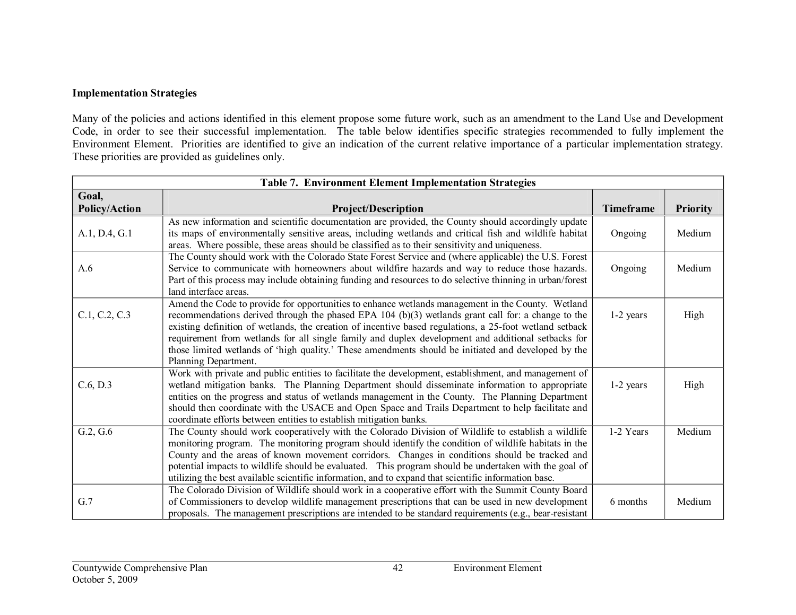## **Implementation Strategies**

Many of the policies and actions identified in this element propose some future work, such as an amendment to the Land Use and Development Code, in order to see their successful implementation. The table below identifies specific strategies recommended to fully implement the Environment Element. Priorities are identified to give an indication of the current relative importance of a particular implementation strategy. These priorities are provided as guidelines only.

| <b>Table 7. Environment Element Implementation Strategies</b> |                                                                                                                                                                                                                                                                                                                                                                                                                                                                                                                                                           |                  |                 |  |  |
|---------------------------------------------------------------|-----------------------------------------------------------------------------------------------------------------------------------------------------------------------------------------------------------------------------------------------------------------------------------------------------------------------------------------------------------------------------------------------------------------------------------------------------------------------------------------------------------------------------------------------------------|------------------|-----------------|--|--|
| Goal,<br><b>Policy/Action</b>                                 | <b>Project/Description</b>                                                                                                                                                                                                                                                                                                                                                                                                                                                                                                                                | <b>Timeframe</b> | <b>Priority</b> |  |  |
| A.1, D.4, G.1                                                 | As new information and scientific documentation are provided, the County should accordingly update<br>its maps of environmentally sensitive areas, including wetlands and critical fish and wildlife habitat<br>areas. Where possible, these areas should be classified as to their sensitivity and uniqueness.                                                                                                                                                                                                                                           | Ongoing          | Medium          |  |  |
| A.6                                                           | The County should work with the Colorado State Forest Service and (where applicable) the U.S. Forest<br>Service to communicate with homeowners about wildfire hazards and way to reduce those hazards.<br>Part of this process may include obtaining funding and resources to do selective thinning in urban/forest<br>land interface areas.                                                                                                                                                                                                              | Ongoing          | Medium          |  |  |
| C.1, C.2, C.3                                                 | Amend the Code to provide for opportunities to enhance wetlands management in the County. Wetland<br>recommendations derived through the phased EPA $104$ (b)(3) wetlands grant call for: a change to the<br>existing definition of wetlands, the creation of incentive based regulations, a 25-foot wetland setback<br>requirement from wetlands for all single family and duplex development and additional setbacks for<br>those limited wetlands of 'high quality.' These amendments should be initiated and developed by the<br>Planning Department. | 1-2 years        | High            |  |  |
| C.6, D.3                                                      | Work with private and public entities to facilitate the development, establishment, and management of<br>wetland mitigation banks. The Planning Department should disseminate information to appropriate<br>entities on the progress and status of wetlands management in the County. The Planning Department<br>should then coordinate with the USACE and Open Space and Trails Department to help facilitate and<br>coordinate efforts between entities to establish mitigation banks.                                                                  | 1-2 years        | High            |  |  |
| G.2, G.6                                                      | The County should work cooperatively with the Colorado Division of Wildlife to establish a wildlife<br>monitoring program. The monitoring program should identify the condition of wildlife habitats in the<br>County and the areas of known movement corridors. Changes in conditions should be tracked and<br>potential impacts to wildlife should be evaluated. This program should be undertaken with the goal of<br>utilizing the best available scientific information, and to expand that scientific information base.                             | 1-2 Years        | Medium          |  |  |
| G.7                                                           | The Colorado Division of Wildlife should work in a cooperative effort with the Summit County Board<br>of Commissioners to develop wildlife management prescriptions that can be used in new development<br>proposals. The management prescriptions are intended to be standard requirements (e.g., bear-resistant                                                                                                                                                                                                                                         | 6 months         | Medium          |  |  |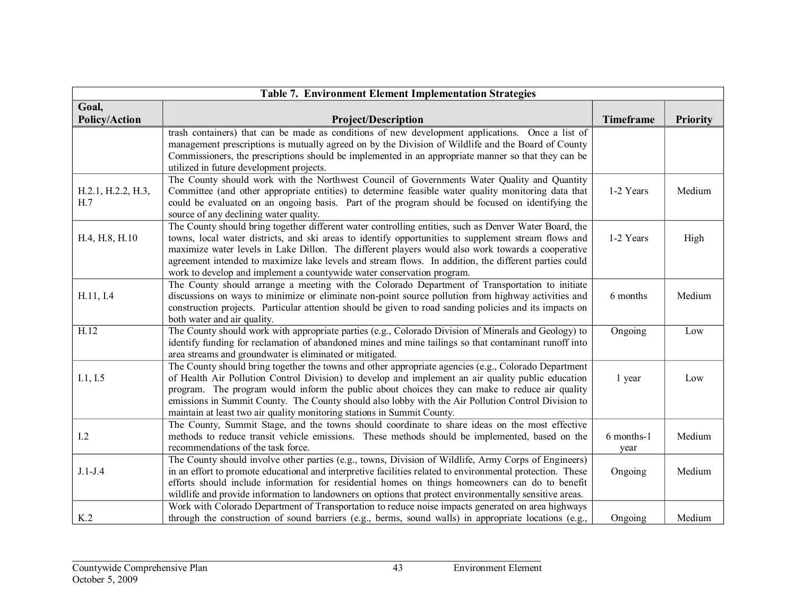| <b>Table 7. Environment Element Implementation Strategies</b> |                                                                                                                                                                                                       |            |                 |  |  |  |
|---------------------------------------------------------------|-------------------------------------------------------------------------------------------------------------------------------------------------------------------------------------------------------|------------|-----------------|--|--|--|
| Goal,                                                         |                                                                                                                                                                                                       |            |                 |  |  |  |
| <b>Policy/Action</b>                                          | <b>Project/Description</b>                                                                                                                                                                            | Timeframe  | <b>Priority</b> |  |  |  |
|                                                               | trash containers) that can be made as conditions of new development applications. Once a list of                                                                                                      |            |                 |  |  |  |
|                                                               | management prescriptions is mutually agreed on by the Division of Wildlife and the Board of County                                                                                                    |            |                 |  |  |  |
|                                                               | Commissioners, the prescriptions should be implemented in an appropriate manner so that they can be                                                                                                   |            |                 |  |  |  |
|                                                               | utilized in future development projects.<br>The County should work with the Northwest Council of Governments Water Quality and Quantity                                                               |            |                 |  |  |  |
| H.2.1, H.2.2, H.3,                                            | Committee (and other appropriate entities) to determine feasible water quality monitoring data that                                                                                                   | 1-2 Years  | Medium          |  |  |  |
| H.7                                                           | could be evaluated on an ongoing basis. Part of the program should be focused on identifying the                                                                                                      |            |                 |  |  |  |
|                                                               | source of any declining water quality.                                                                                                                                                                |            |                 |  |  |  |
|                                                               | The County should bring together different water controlling entities, such as Denver Water Board, the                                                                                                |            |                 |  |  |  |
| H.4, H.8, H.10                                                | towns, local water districts, and ski areas to identify opportunities to supplement stream flows and                                                                                                  | 1-2 Years  | High            |  |  |  |
|                                                               | maximize water levels in Lake Dillon. The different players would also work towards a cooperative                                                                                                     |            |                 |  |  |  |
|                                                               | agreement intended to maximize lake levels and stream flows. In addition, the different parties could                                                                                                 |            |                 |  |  |  |
|                                                               | work to develop and implement a countywide water conservation program.                                                                                                                                |            |                 |  |  |  |
| H.11, I.4                                                     | The County should arrange a meeting with the Colorado Department of Transportation to initiate<br>discussions on ways to minimize or eliminate non-point source pollution from highway activities and | 6 months   | Medium          |  |  |  |
|                                                               | construction projects. Particular attention should be given to road sanding policies and its impacts on                                                                                               |            |                 |  |  |  |
|                                                               | both water and air quality.                                                                                                                                                                           |            |                 |  |  |  |
| H.12                                                          | The County should work with appropriate parties (e.g., Colorado Division of Minerals and Geology) to                                                                                                  | Ongoing    | Low             |  |  |  |
|                                                               | identify funding for reclamation of abandoned mines and mine tailings so that contaminant runoff into                                                                                                 |            |                 |  |  |  |
|                                                               | area streams and groundwater is eliminated or mitigated.                                                                                                                                              |            |                 |  |  |  |
|                                                               | The County should bring together the towns and other appropriate agencies (e.g., Colorado Department                                                                                                  |            |                 |  |  |  |
| I.1, I.5                                                      | of Health Air Pollution Control Division) to develop and implement an air quality public education                                                                                                    | 1 year     | Low             |  |  |  |
|                                                               | program. The program would inform the public about choices they can make to reduce air quality                                                                                                        |            |                 |  |  |  |
|                                                               | emissions in Summit County. The County should also lobby with the Air Pollution Control Division to                                                                                                   |            |                 |  |  |  |
|                                                               | maintain at least two air quality monitoring stations in Summit County.<br>The County, Summit Stage, and the towns should coordinate to share ideas on the most effective                             |            |                 |  |  |  |
| I.2                                                           | methods to reduce transit vehicle emissions. These methods should be implemented, based on the                                                                                                        | 6 months-1 | Medium          |  |  |  |
|                                                               | recommendations of the task force.                                                                                                                                                                    | year       |                 |  |  |  |
|                                                               | The County should involve other parties (e.g., towns, Division of Wildlife, Army Corps of Engineers)                                                                                                  |            |                 |  |  |  |
| $J.1-J.4$                                                     | in an effort to promote educational and interpretive facilities related to environmental protection. These                                                                                            | Ongoing    | Medium          |  |  |  |
|                                                               | efforts should include information for residential homes on things homeowners can do to benefit                                                                                                       |            |                 |  |  |  |
|                                                               | wildlife and provide information to landowners on options that protect environmentally sensitive areas.                                                                                               |            |                 |  |  |  |
|                                                               | Work with Colorado Department of Transportation to reduce noise impacts generated on area highways                                                                                                    |            |                 |  |  |  |
| K.2                                                           | through the construction of sound barriers (e.g., berms, sound walls) in appropriate locations (e.g.,                                                                                                 | Ongoing    | Medium          |  |  |  |

43